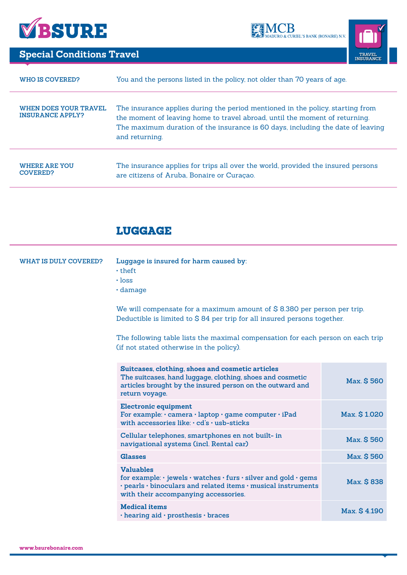





**Special Conditions Travel TRAVEL TRAVEL TRAVEL TRAVEL TRAVEL** 

| WHO IS COVERED?                                  | You and the persons listed in the policy, not older than 70 years of age.                                                                                                                                                                                          |
|--------------------------------------------------|--------------------------------------------------------------------------------------------------------------------------------------------------------------------------------------------------------------------------------------------------------------------|
| WHEN DOES YOUR TRAVEL<br><b>INSURANCE APPLY?</b> | The insurance applies during the period mentioned in the policy, starting from<br>the moment of leaving home to travel abroad, until the moment of returning.<br>The maximum duration of the insurance is 60 days, including the date of leaving<br>and returning. |
| <b>WHERE ARE YOU</b><br><b>COVERED?</b>          | The insurance applies for trips all over the world, provided the insured persons<br>are citizens of Aruba, Bonaire or Curação.                                                                                                                                     |

# LUGGAGE

| <b>WHAT IS DULY COVERED?</b> | Luggage is insured for harm caused by:<br>$\cdot$ theft<br>$\cdot$ loss<br>$\cdot$ damage<br>We will compensate for a maximum amount of $$8.380$ per person per trip.<br>Deductible is limited to \$84 per trip for all insured persons together. |              |
|------------------------------|---------------------------------------------------------------------------------------------------------------------------------------------------------------------------------------------------------------------------------------------------|--------------|
|                              | The following table lists the maximal compensation for each person on each trip<br>(if not stated otherwise in the policy).                                                                                                                       |              |
|                              | Suitcases, clothing, shoes and cosmetic articles<br>The suitcases, hand luggage, clothing, shoes and cosmetic<br>articles brought by the insured person on the outward and<br>return voyage.                                                      | Max. \$560   |
|                              | <b>Electronic equipment</b><br>For example: · camera · laptop · game computer · iPad<br>with accessories like: · cd's · usb-sticks                                                                                                                | Max. \$1.020 |
|                              | Cellular telephones, smartphones en not built- in<br>navigational systems (incl. Rental car)                                                                                                                                                      | Max. \$560   |
|                              | <b>Glasses</b>                                                                                                                                                                                                                                    | Max. \$560   |
|                              | <b>Valuables</b><br>for example: $\cdot$ jewels $\cdot$ watches $\cdot$ furs $\cdot$ silver and gold $\cdot$ gems<br>$\cdot$ pearls $\cdot$ binoculars and related items $\cdot$ musical instruments<br>with their accompanying accessories.      | Max. \$838   |
|                              | <b>Medical items</b><br>· hearing aid · prosthesis · braces                                                                                                                                                                                       | Max. \$4.190 |
|                              |                                                                                                                                                                                                                                                   |              |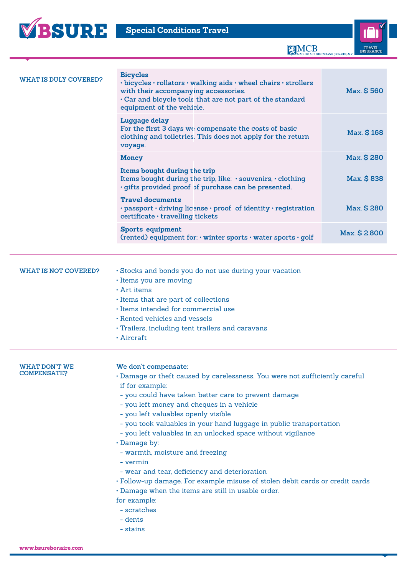

MCB MODURO & CURIEL'S BANK (BONAIRE) N.V



| <b>WHAT IS DULY COVERED?</b>        | <b>Bicycles</b><br>$\cdot$ bicycles $\cdot$ rollators $\cdot$ walking aids $\cdot$ wheel chairs $\cdot$ strollers<br>with their accompanying accessories.<br>. Car and bicycle tools that are not part of the standard<br>equipment of the vehicle.                                                                                                                                                                                                                                                                                                                                                                                                                                                     | Max. \$560   |
|-------------------------------------|---------------------------------------------------------------------------------------------------------------------------------------------------------------------------------------------------------------------------------------------------------------------------------------------------------------------------------------------------------------------------------------------------------------------------------------------------------------------------------------------------------------------------------------------------------------------------------------------------------------------------------------------------------------------------------------------------------|--------------|
|                                     | Luggage delay<br>For the first 3 days we compensate the costs of basic<br>clothing and toiletries. This does not apply for the return<br>voyage.                                                                                                                                                                                                                                                                                                                                                                                                                                                                                                                                                        | Max. \$168   |
|                                     | <b>Money</b>                                                                                                                                                                                                                                                                                                                                                                                                                                                                                                                                                                                                                                                                                            | Max. \$280   |
|                                     | Items bought during the trip<br>Items bought during the trip, like: · souvenirs, · clothing<br>· gifts provided proof of purchase can be presented.                                                                                                                                                                                                                                                                                                                                                                                                                                                                                                                                                     | Max. \$838   |
|                                     | <b>Travel documents</b><br>· passport · driving license · proof of identity · registration<br>certificate · travelling tickets                                                                                                                                                                                                                                                                                                                                                                                                                                                                                                                                                                          | Max. \$280   |
|                                     | <b>Sports equipment</b><br>(rented) equipment for: · winter sports · water sports · golf                                                                                                                                                                                                                                                                                                                                                                                                                                                                                                                                                                                                                | Max. \$2.800 |
|                                     |                                                                                                                                                                                                                                                                                                                                                                                                                                                                                                                                                                                                                                                                                                         |              |
| <b>WHAT IS NOT COVERED?</b>         | · Stocks and bonds you do not use during your vacation<br>· Items you are moving<br>$\cdot$ Art items<br>· Items that are part of collections<br>· Items intended for commercial use<br>• Rented vehicles and vessels<br>· Trailers, including tent trailers and caravans<br>$\cdot$ Aircraft                                                                                                                                                                                                                                                                                                                                                                                                           |              |
| WHAT DON'T WE<br><b>COMPENSATE?</b> | We don't compensate:<br>· Damage or theft caused by carelessness. You were not sufficiently careful<br>if for example:<br>- you could have taken better care to prevent damage<br>- you left money and cheques in a vehicle<br>- you left valuables openly visible<br>- you took valuables in your hand luggage in public transportation<br>- you left valuables in an unlocked space without vigilance<br>· Damage by:<br>- warmth, moisture and freezing<br>- vermin<br>- wear and tear, deficiency and deterioration<br>· Follow-up damage. For example misuse of stolen debit cards or credit cards<br>· Damage when the items are still in usable order.<br>for example:<br>- scratches<br>- dents |              |

- stains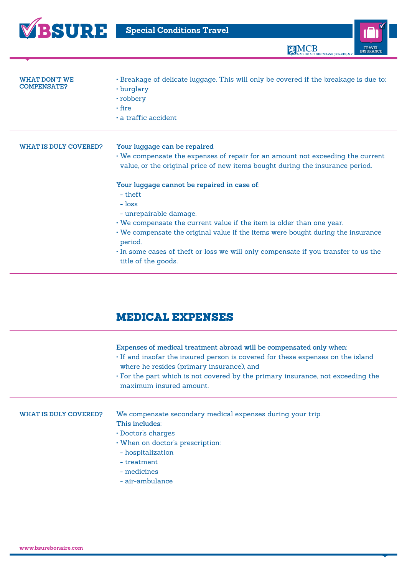



| WHAT DON'T WE<br><b>COMPENSATE?</b> | · Breakage of delicate luggage. This will only be covered if the breakage is due to:<br>• burglary<br>• robbery<br>$\cdot$ fire<br>$\cdot$ a traffic accident                                                                                                                                                                                                                   |
|-------------------------------------|---------------------------------------------------------------------------------------------------------------------------------------------------------------------------------------------------------------------------------------------------------------------------------------------------------------------------------------------------------------------------------|
| WHAT IS DULY COVERED?               | Your luggage can be repaired<br>• We compensate the expenses of repair for an amount not exceeding the current<br>value, or the original price of new items bought during the insurance period.                                                                                                                                                                                 |
|                                     | Your luggage cannot be repaired in case of:<br>- theft<br>$-$ loss<br>- unrepairable damage.<br>. We compensate the current value if the item is older than one year.<br>• We compensate the original value if the items were bought during the insurance<br>period.<br>In some cases of theft or loss we will only compensate if you transfer to us the<br>title of the goods. |

## MEDICAL EXPENSES

### **Expenses of medical treatment abroad will be compensated only when:**

- If and insofar the insured person is covered for these expenses on the island where he resides (primary insurance), and
- For the part which is not covered by the primary insurance, not exceeding the maximum insured amount.

### **What is duly covered?**

We compensate secondary medical expenses during your trip. **This includes:**

- • Doctor's charges
- • When on doctor's prescription:
	- hospitalization
- treatment
- medicines
- air-ambulance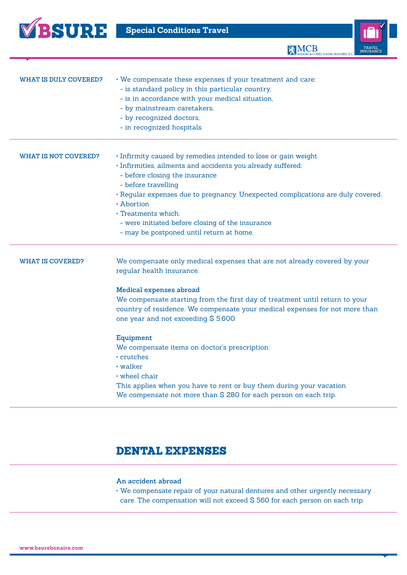

**EMCB** 



## DENTAL EXPENSES

### **An accident abroad**

• We compensate repair of your natural dentures and other urgently necessary care. The compensation will not exceed \$ 560 for each person on each trip.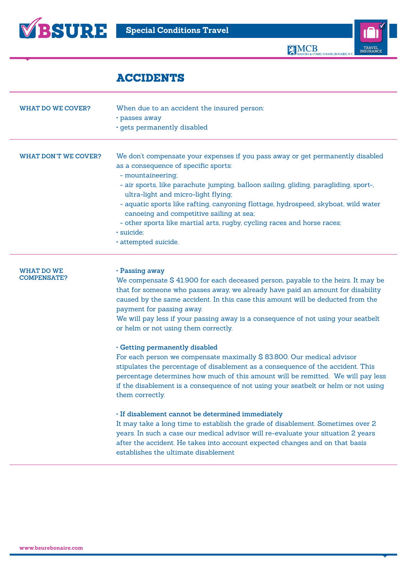

**TRAVEL INSURANCE**

## ACCIDENTS

| WHAT DO WE COVER?                | When due to an accident the insured person:<br>• passes away<br>· gets permanently disabled                                                                                                                                                                                                                                                                                                                                                                                                                                   |
|----------------------------------|-------------------------------------------------------------------------------------------------------------------------------------------------------------------------------------------------------------------------------------------------------------------------------------------------------------------------------------------------------------------------------------------------------------------------------------------------------------------------------------------------------------------------------|
| WHAT DON'T WE COVER?             | We don't compensate your expenses if you pass away or get permanently disabled<br>as a consequence of specific sports:<br>- mountaineering;<br>- air sports, like parachute jumping, balloon sailing, gliding, paragliding, sport-,<br>ultra-light and micro-light flying;<br>- aquatic sports like rafting, canyoning flottage, hydrospeed, skyboat, wild water<br>canoeing and competitive sailing at sea;<br>- other sports like martial arts, rugby, cycling races and horse races;<br>· suicide;<br>· attempted suicide. |
| WHAT DO WE<br><b>COMPENSATE?</b> | . Passing away<br>We compensate \$41.900 for each deceased person, payable to the heirs. It may be                                                                                                                                                                                                                                                                                                                                                                                                                            |

that for someone who passes away, we already have paid an amount for disability caused by the same accident. In this case this amount will be deducted from the payment for passing away.

We will pay less if your passing away is a consequence of not using your seatbelt or helm or not using them correctly.

### **• Getting permanently disabled**

For each person we compensate maximally \$ 83.800. Our medical advisor stipulates the percentage of disablement as a consequence of the accident. This percentage determines how much of this amount will be remitted. We will pay less if the disablement is a consequence of not using your seatbelt or helm or not using them correctly.

### **• If disablement cannot be determined immediately**

It may take a long time to establish the grade of disablement. Sometimes over 2 years. In such a case our medical advisor will re-evaluate your situation 2 years after the accident. He takes into account expected changes and on that basis establishes the ultimate disablement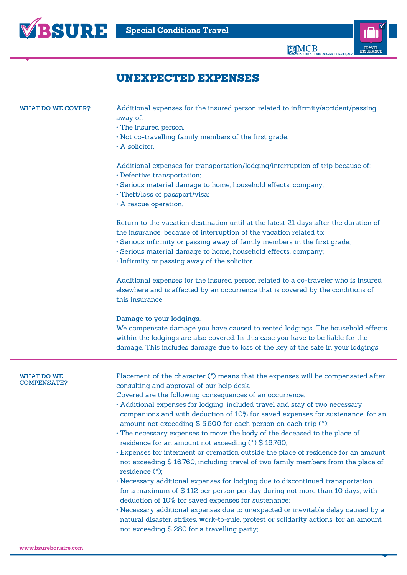

**TRAVEL INSURANCE**

Ī

## UNEXPECTED EXPENSES

| <b>WHAT DO WE COVER?</b>         | Additional expenses for the insured person related to infirmity/accident/passing<br>away of:<br>· The insured person,<br>. Not co-travelling family members of the first grade,<br>· A solicitor.                                                                                                                                                                                                                                                                                                                                                                                                                                                                                                                                                                                                                                                                                                                                                                                                                                                                                                                                                                                                                 |
|----------------------------------|-------------------------------------------------------------------------------------------------------------------------------------------------------------------------------------------------------------------------------------------------------------------------------------------------------------------------------------------------------------------------------------------------------------------------------------------------------------------------------------------------------------------------------------------------------------------------------------------------------------------------------------------------------------------------------------------------------------------------------------------------------------------------------------------------------------------------------------------------------------------------------------------------------------------------------------------------------------------------------------------------------------------------------------------------------------------------------------------------------------------------------------------------------------------------------------------------------------------|
|                                  | Additional expenses for transportation/lodging/interruption of trip because of:<br>· Defective transportation;<br>· Serious material damage to home, household effects, company;<br>· Theft/loss of passport/visa;<br>$\cdot$ A rescue operation.                                                                                                                                                                                                                                                                                                                                                                                                                                                                                                                                                                                                                                                                                                                                                                                                                                                                                                                                                                 |
|                                  | Return to the vacation destination until at the latest 21 days after the duration of<br>the insurance, because of interruption of the vacation related to:<br>· Serious infirmity or passing away of family members in the first grade;<br>· Serious material damage to home, household effects, company;<br>· Infirmity or passing away of the solicitor.                                                                                                                                                                                                                                                                                                                                                                                                                                                                                                                                                                                                                                                                                                                                                                                                                                                        |
|                                  | Additional expenses for the insured person related to a co-traveler who is insured<br>elsewhere and is affected by an occurrence that is covered by the conditions of<br>this insurance.                                                                                                                                                                                                                                                                                                                                                                                                                                                                                                                                                                                                                                                                                                                                                                                                                                                                                                                                                                                                                          |
|                                  | Damage to your lodgings.<br>We compensate damage you have caused to rented lodgings. The household effects<br>within the lodgings are also covered. In this case you have to be liable for the<br>damage. This includes damage due to loss of the key of the safe in your lodgings.                                                                                                                                                                                                                                                                                                                                                                                                                                                                                                                                                                                                                                                                                                                                                                                                                                                                                                                               |
| WHAT DO WE<br><b>COMPENSATE?</b> | Placement of the character (*) means that the expenses will be compensated after<br>consulting and approval of our help desk.<br>Covered are the following consequences of an occurrence:<br>• Additional expenses for lodging, included travel and stay of two necessary<br>companions and with deduction of 10% for saved expenses for sustenance, for an<br>amount not exceeding $$5600$ for each person on each trip (*);<br>· The necessary expenses to move the body of the deceased to the place of<br>residence for an amount not exceeding (*) \$16.760;<br>Expenses for interment or cremation outside the place of residence for an amount<br>not exceeding \$16.760, including travel of two family members from the place of<br>residence (*);<br>• Necessary additional expenses for lodging due to discontinued transportation<br>for a maximum of \$112 per person per day during not more than 10 days, with<br>deduction of 10% for saved expenses for sustenance;<br>• Necessary additional expenses due to unexpected or inevitable delay caused by a<br>natural disaster, strikes, work-to-rule, protest or solidarity actions, for an amount<br>not exceeding \$280 for a travelling party; |